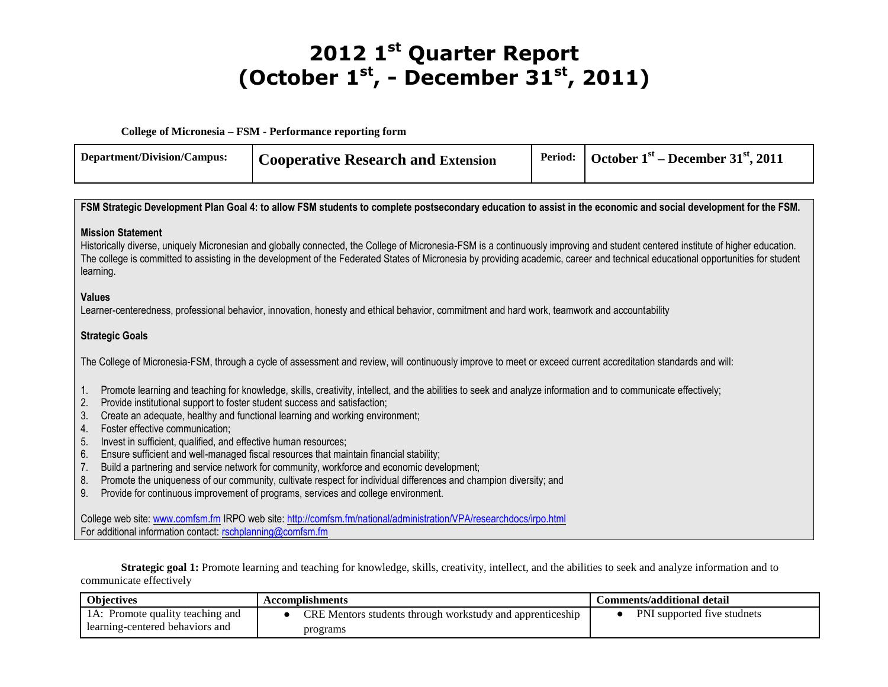## **2012 1 st Quarter Report (October 1st , - December 31st, 2011)**

**College of Micronesia – FSM - Performance reporting form**

| Department/Division/Campus: | <b>Cooperative Research and Extension</b> | Period: $\cdot$ October 1 <sup>st</sup> – December 31 <sup>st</sup> , 2011 |
|-----------------------------|-------------------------------------------|----------------------------------------------------------------------------|
|                             |                                           |                                                                            |

| FSM Strategic Development Plan Goal 4: to allow FSM students to complete postsecondary education to assist in the economic and social development for the FSM.                                                                                                                                                                                                                                                                                                                                                                                                                                                                                                                                                                                                                                                                                                                          |  |  |  |  |
|-----------------------------------------------------------------------------------------------------------------------------------------------------------------------------------------------------------------------------------------------------------------------------------------------------------------------------------------------------------------------------------------------------------------------------------------------------------------------------------------------------------------------------------------------------------------------------------------------------------------------------------------------------------------------------------------------------------------------------------------------------------------------------------------------------------------------------------------------------------------------------------------|--|--|--|--|
| <b>Mission Statement</b><br>Historically diverse, uniquely Micronesian and globally connected, the College of Micronesia-FSM is a continuously improving and student centered institute of higher education.<br>The college is committed to assisting in the development of the Federated States of Micronesia by providing academic, career and technical educational opportunities for student<br>learning.                                                                                                                                                                                                                                                                                                                                                                                                                                                                           |  |  |  |  |
| <b>Values</b><br>Learner-centeredness, professional behavior, innovation, honesty and ethical behavior, commitment and hard work, teamwork and accountability                                                                                                                                                                                                                                                                                                                                                                                                                                                                                                                                                                                                                                                                                                                           |  |  |  |  |
| <b>Strategic Goals</b>                                                                                                                                                                                                                                                                                                                                                                                                                                                                                                                                                                                                                                                                                                                                                                                                                                                                  |  |  |  |  |
| The College of Micronesia-FSM, through a cycle of assessment and review, will continuously improve to meet or exceed current accreditation standards and will:                                                                                                                                                                                                                                                                                                                                                                                                                                                                                                                                                                                                                                                                                                                          |  |  |  |  |
| Promote learning and teaching for knowledge, skills, creativity, intellect, and the abilities to seek and analyze information and to communicate effectively;<br>1.<br>2.<br>Provide institutional support to foster student success and satisfaction;<br>Create an adequate, healthy and functional learning and working environment;<br>3.<br>Foster effective communication;<br>4.<br>Invest in sufficient, qualified, and effective human resources;<br>5.<br>6.<br>Ensure sufficient and well-managed fiscal resources that maintain financial stability;<br>Build a partnering and service network for community, workforce and economic development;<br>7.<br>Promote the uniqueness of our community, cultivate respect for individual differences and champion diversity; and<br>8.<br>Provide for continuous improvement of programs, services and college environment.<br>9. |  |  |  |  |
| College web site: www.comfsm.fm IRPO web site: http://comfsm.fm/national/administration/VPA/researchdocs/irpo.html<br>For additional information contact: rschplanning@comfsm.fm                                                                                                                                                                                                                                                                                                                                                                                                                                                                                                                                                                                                                                                                                                        |  |  |  |  |

**Strategic goal 1:** Promote learning and teaching for knowledge, skills, creativity, intellect, and the abilities to seek and analyze information and to communicate effectively

| <b>Objectives</b>                | Accomplishments                                           | Comments/additional detail  |
|----------------------------------|-----------------------------------------------------------|-----------------------------|
| IA: Promote quality teaching and | CRE Mentors students through workstudy and apprenticeship | PNI supported five studnets |
| learning-centered behaviors and  | programs                                                  |                             |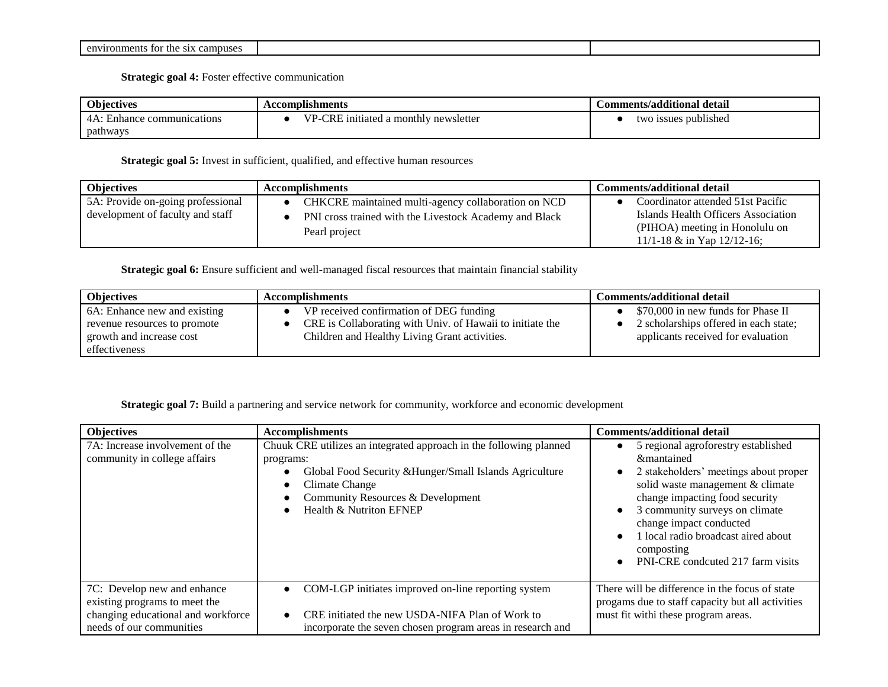| †∩r<br>$\sim$ $\sim$<br>campuses<br>0.477<br>onments<br>$\sim$ $\sim$<br>me<br>. |  |
|----------------------------------------------------------------------------------|--|

**Strategic goal 4:** Foster effective communication

| <b>Objectives</b>                 | Accomplishments                                            | Comments/additional detail               |  |
|-----------------------------------|------------------------------------------------------------|------------------------------------------|--|
| $\sim$<br>communications<br>ำทุกก | CDF<br>$T$ $T$<br>d a monthly newsletter<br>1mt1atec<br>'R | $\cdot$ .<br>` publishea<br>ssues<br>۲W۱ |  |
| pathways                          |                                                            |                                          |  |

## **Strategic goal 5:** Invest in sufficient, qualified, and effective human resources

| <b>Objectives</b>                 | <b>Accomplishments</b>                                 | <b>Comments/additional detail</b>   |  |
|-----------------------------------|--------------------------------------------------------|-------------------------------------|--|
| 5A: Provide on-going professional | CHKCRE maintained multi-agency collaboration on NCD    | Coordinator attended 51st Pacific   |  |
| development of faculty and staff  | PNI cross trained with the Livestock Academy and Black | Islands Health Officers Association |  |
|                                   | Pearl project                                          | (PIHOA) meeting in Honolulu on      |  |
|                                   |                                                        | 11/1-18 $\&$ in Yap 12/12-16;       |  |

## Strategic goal 6: Ensure sufficient and well-managed fiscal resources that maintain financial stability

| <b>Objectives</b>            | <b>Accomplishments</b>                                    |                                       |
|------------------------------|-----------------------------------------------------------|---------------------------------------|
| 6A: Enhance new and existing | VP received confirmation of DEG funding                   | \$70,000 in new funds for Phase II    |
| revenue resources to promote | CRE is Collaborating with Univ. of Hawaii to initiate the | 2 scholarships offered in each state; |
| growth and increase cost     | Children and Healthy Living Grant activities.             | applicants received for evaluation    |
| effectiveness                |                                                           |                                       |

## **Strategic goal 7:** Build a partnering and service network for community, workforce and economic development

| <b>Objectives</b>                                                                                                              | <b>Accomplishments</b>                                                                                                                                                                                                       | <b>Comments/additional detail</b>                                                                                                                                                                                                                                                                                                                 |
|--------------------------------------------------------------------------------------------------------------------------------|------------------------------------------------------------------------------------------------------------------------------------------------------------------------------------------------------------------------------|---------------------------------------------------------------------------------------------------------------------------------------------------------------------------------------------------------------------------------------------------------------------------------------------------------------------------------------------------|
| 7A: Increase involvement of the<br>community in college affairs                                                                | Chuuk CRE utilizes an integrated approach in the following planned<br>programs:<br>Global Food Security & Hunger/Small Islands Agriculture<br>Climate Change<br>Community Resources & Development<br>Health & Nutriton EFNEP | 5 regional agroforestry established<br>&mantained<br>2 stakeholders' meetings about proper<br>solid waste management & climate<br>change impacting food security<br>3 community surveys on climate<br>$\bullet$<br>change impact conducted<br>1 local radio broadcast aired about<br>$\bullet$<br>composting<br>PNI-CRE condcuted 217 farm visits |
| 7C: Develop new and enhance<br>existing programs to meet the<br>changing educational and workforce<br>needs of our communities | COM-LGP initiates improved on-line reporting system<br>CRE initiated the new USDA-NIFA Plan of Work to<br>incorporate the seven chosen program areas in research and                                                         | There will be difference in the focus of state<br>progams due to staff capacity but all activities<br>must fit withi these program areas.                                                                                                                                                                                                         |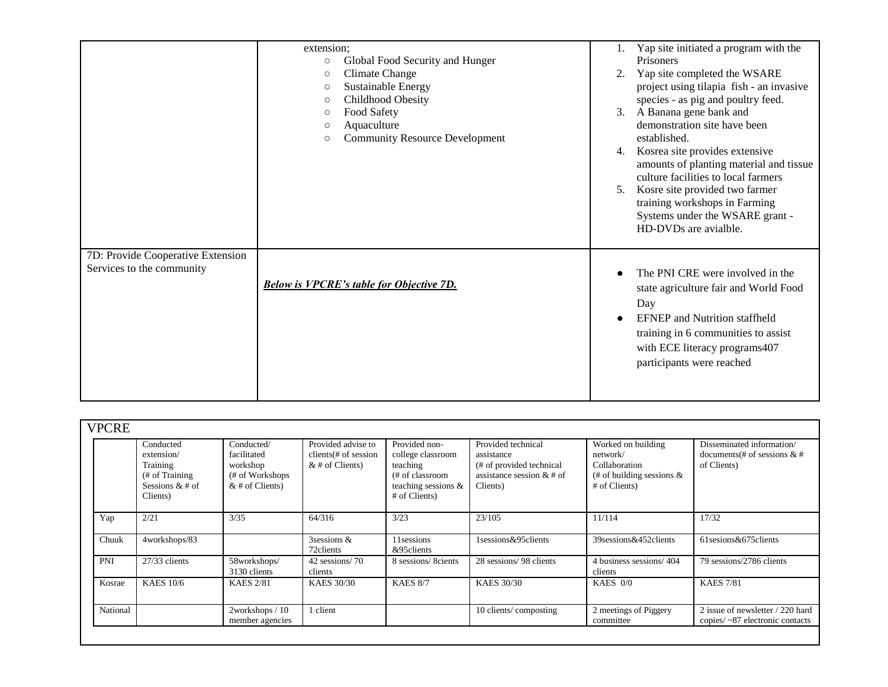|                                                                | extension;<br>Global Food Security and Hunger<br>$\circ$<br>Climate Change<br>$\circ$<br>Sustainable Energy<br>$\circ$<br>Childhood Obesity<br>$\circ$<br>Food Safety<br>$\circ$<br>Aquaculture<br>$\circ$<br><b>Community Resource Development</b><br>$\circ$ | Yap site initiated a program with the<br>Prisoners<br>Yap site completed the WSARE<br>2.<br>project using tilapia fish - an invasive<br>species - as pig and poultry feed.<br>A Banana gene bank and<br>3.<br>demonstration site have been<br>established.<br>Kosrea site provides extensive<br>4.<br>amounts of planting material and tissue<br>culture facilities to local farmers<br>Kosre site provided two farmer<br>5.<br>training workshops in Farming<br>Systems under the WSARE grant -<br>HD-DVDs are avialble. |
|----------------------------------------------------------------|----------------------------------------------------------------------------------------------------------------------------------------------------------------------------------------------------------------------------------------------------------------|---------------------------------------------------------------------------------------------------------------------------------------------------------------------------------------------------------------------------------------------------------------------------------------------------------------------------------------------------------------------------------------------------------------------------------------------------------------------------------------------------------------------------|
| 7D: Provide Cooperative Extension<br>Services to the community | <b>Below is VPCRE's table for Objective 7D.</b>                                                                                                                                                                                                                | The PNI CRE were involved in the<br>$\bullet$<br>state agriculture fair and World Food<br>Day<br><b>EFNEP</b> and Nutrition staffheld<br>training in 6 communities to assist<br>with ECE literacy programs407<br>participants were reached                                                                                                                                                                                                                                                                                |

| <b>VPCRE</b> |                                                                                         |                                                                               |                                                                 |                                                                                                           |                                                                                                         |                                                                                                  |                                                                             |
|--------------|-----------------------------------------------------------------------------------------|-------------------------------------------------------------------------------|-----------------------------------------------------------------|-----------------------------------------------------------------------------------------------------------|---------------------------------------------------------------------------------------------------------|--------------------------------------------------------------------------------------------------|-----------------------------------------------------------------------------|
|              | Conducted<br>extension/<br>Training<br>(# of Training)<br>Sessions $& 4$ of<br>Clients) | Conducted/<br>facilitated<br>workshop<br>(# of Workshops<br>$&$ # of Clients) | Provided advise to<br>$clients$ of session<br>$&$ # of Clients) | Provided non-<br>college classroom<br>teaching<br>(# of classroom<br>teaching sessions &<br># of Clients) | Provided technical<br>assistance<br>(# of provided technical<br>assistance session $&$ # of<br>Clients) | Worked on building<br>network/<br>Collaboration<br>(# of building sessions $\&$<br># of Clients) | Disseminated information/<br>documents (# of sessions $\&$ #<br>of Clients) |
| Yap          | 2/21                                                                                    | 3/35                                                                          | 64/316                                                          | 3/23                                                                                                      | 23/105                                                                                                  | 11/114                                                                                           | 17/32                                                                       |
| Chuuk        | 4workshops/83                                                                           |                                                                               | 3sessions &<br>72 clients                                       | 11 sessions<br>&95clients                                                                                 | 1sessions&95clients                                                                                     | 39 sessions & 452 clients                                                                        | 61 sesions & 675 clients                                                    |
| PNI          | 27/33 clients                                                                           | 58workshops/<br>3130 clients                                                  | 42 sessions/70<br>clients                                       | 8 sessions/8cients                                                                                        | 28 sessions/ 98 clients                                                                                 | 4 business sessions/404<br>clients                                                               | 79 sessions/2786 clients                                                    |
| Kosrae       | <b>KAES 10/6</b>                                                                        | <b>KAES 2/81</b>                                                              | <b>KAES 30/30</b>                                               | <b>KAES 8/7</b>                                                                                           | KAES 30/30                                                                                              | KAES $0/0$                                                                                       | <b>KAES 7/81</b>                                                            |
| National     |                                                                                         | 2workshops / 10<br>member agencies                                            | 1 client                                                        |                                                                                                           | 10 clients/composting                                                                                   | 2 meetings of Piggery<br>committee                                                               | 2 issue of newsletter / 220 hard<br>copies/ $\sim$ 87 electronic contacts   |